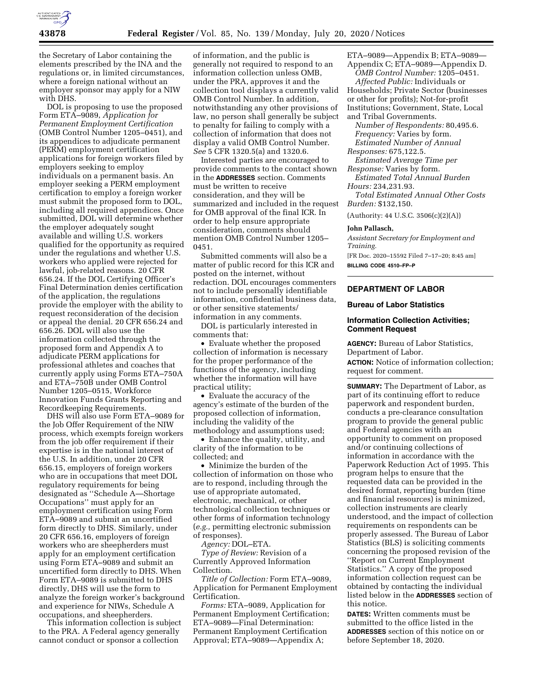

the Secretary of Labor containing the elements prescribed by the INA and the regulations or, in limited circumstances, where a foreign national without an employer sponsor may apply for a NIW with DHS.

DOL is proposing to use the proposed Form ETA–9089, *Application for Permanent Employment Certification*  (OMB Control Number 1205–0451), and its appendices to adjudicate permanent (PERM) employment certification applications for foreign workers filed by employers seeking to employ individuals on a permanent basis. An employer seeking a PERM employment certification to employ a foreign worker must submit the proposed form to DOL, including all required appendices. Once submitted, DOL will determine whether the employer adequately sought available and willing U.S. workers qualified for the opportunity as required under the regulations and whether U.S. workers who applied were rejected for lawful, job-related reasons. 20 CFR 656.24. If the DOL Certifying Officer's Final Determination denies certification of the application, the regulations provide the employer with the ability to request reconsideration of the decision or appeal the denial. 20 CFR 656.24 and 656.26. DOL will also use the information collected through the proposed form and Appendix A to adjudicate PERM applications for professional athletes and coaches that currently apply using Forms ETA–750A and ETA–750B under OMB Control Number 1205–0515, Workforce Innovation Funds Grants Reporting and Recordkeeping Requirements.

DHS will also use Form ETA–9089 for the Job Offer Requirement of the NIW process, which exempts foreign workers from the job offer requirement if their expertise is in the national interest of the U.S. In addition, under 20 CFR 656.15, employers of foreign workers who are in occupations that meet DOL regulatory requirements for being designated as ''Schedule A—Shortage Occupations'' must apply for an employment certification using Form ETA–9089 and submit an uncertified form directly to DHS. Similarly, under 20 CFR 656.16, employers of foreign workers who are sheepherders must apply for an employment certification using Form ETA–9089 and submit an uncertified form directly to DHS. When Form ETA–9089 is submitted to DHS directly, DHS will use the form to analyze the foreign worker's background and experience for NIWs, Schedule A occupations, and sheepherders.

This information collection is subject to the PRA. A Federal agency generally cannot conduct or sponsor a collection

of information, and the public is generally not required to respond to an information collection unless OMB, under the PRA, approves it and the collection tool displays a currently valid OMB Control Number. In addition, notwithstanding any other provisions of law, no person shall generally be subject to penalty for failing to comply with a collection of information that does not display a valid OMB Control Number. *See* 5 CFR 1320.5(a) and 1320.6.

Interested parties are encouraged to provide comments to the contact shown in the **ADDRESSES** section. Comments must be written to receive consideration, and they will be summarized and included in the request for OMB approval of the final ICR. In order to help ensure appropriate consideration, comments should mention OMB Control Number 1205– 0451.

Submitted comments will also be a matter of public record for this ICR and posted on the internet, without redaction. DOL encourages commenters not to include personally identifiable information, confidential business data, or other sensitive statements/ information in any comments.

DOL is particularly interested in comments that:

• Evaluate whether the proposed collection of information is necessary for the proper performance of the functions of the agency, including whether the information will have practical utility;

• Evaluate the accuracy of the agency's estimate of the burden of the proposed collection of information, including the validity of the methodology and assumptions used;

• Enhance the quality, utility, and clarity of the information to be collected; and

• Minimize the burden of the collection of information on those who are to respond, including through the use of appropriate automated, electronic, mechanical, or other technological collection techniques or other forms of information technology (*e.g.,* permitting electronic submission of responses).

*Agency:* DOL–ETA.

*Type of Review:* Revision of a Currently Approved Information Collection.

*Title of Collection:* Form ETA–9089, Application for Permanent Employment Certification.

*Forms:* ETA–9089, Application for Permanent Employment Certification; ETA–9089—Final Determination: Permanent Employment Certification Approval; ETA–9089—Appendix A;

ETA–9089—Appendix B; ETA–9089— Appendix C; ETA–9089—Appendix D.

*OMB Control Number:* 1205–0451. *Affected Public:* Individuals or Households; Private Sector (businesses or other for profits); Not-for-profit Institutions; Government, State, Local and Tribal Governments.

*Number of Respondents:* 80,495.6. *Frequency:* Varies by form. *Estimated Number of Annual* 

*Responses:* 675,122.5.

*Estimated Average Time per Response:* Varies by form.

*Estimated Total Annual Burden Hours:* 234,231.93.

*Total Estimated Annual Other Costs Burden:* \$132,150.

(Authority: 44 U.S.C. 3506(c)(2)(A))

#### **John Pallasch,**

*Assistant Secretary for Employment and Training.*  [FR Doc. 2020–15592 Filed 7–17–20; 8:45 am]

**BILLING CODE 4510–FP–P** 

## **DEPARTMENT OF LABOR**

#### **Bureau of Labor Statistics**

## **Information Collection Activities; Comment Request**

**AGENCY:** Bureau of Labor Statistics, Department of Labor.

**ACTION:** Notice of information collection; request for comment.

**SUMMARY:** The Department of Labor, as part of its continuing effort to reduce paperwork and respondent burden, conducts a pre-clearance consultation program to provide the general public and Federal agencies with an opportunity to comment on proposed and/or continuing collections of information in accordance with the Paperwork Reduction Act of 1995. This program helps to ensure that the requested data can be provided in the desired format, reporting burden (time and financial resources) is minimized, collection instruments are clearly understood, and the impact of collection requirements on respondents can be properly assessed. The Bureau of Labor Statistics (BLS) is soliciting comments concerning the proposed revision of the ''Report on Current Employment Statistics.'' A copy of the proposed information collection request can be obtained by contacting the individual listed below in the **ADDRESSES** section of this notice.

**DATES:** Written comments must be submitted to the office listed in the **ADDRESSES** section of this notice on or before September 18, 2020.